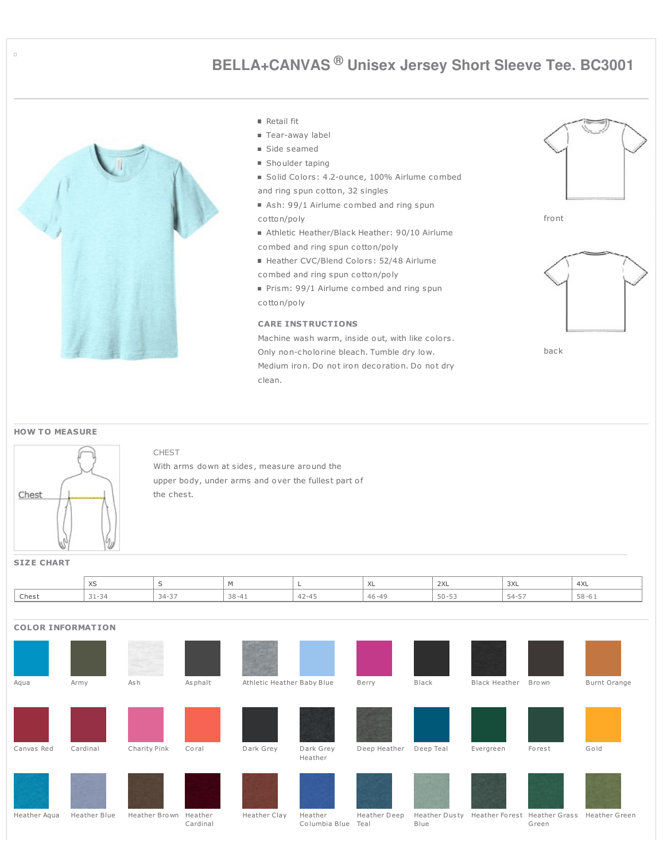# **BELLA+CANVAS ® Unisex Jersey Short Sleeve Tee. BC3001**



|  | ета | ш |  |
|--|-----|---|--|
|--|-----|---|--|

■ Tear-away label

- Side seamed
- **Shoulder taping**
- Solid Colors: 4.2-ounce, 100% Airlume combed and ring spun cotton, 32 singles
- Ash: 99/1 Airlume combed and ring spun
- cotton/poly
- Athletic Heather/Black Heather: 90/10 Airlume combed and ring spun cotton/poly
- Heather CVC/Blend Colors: 52/48 Airlume
- combed and ring spun cotton/poly
- Prism: 99/1 Airlume combed and ring spun cotton/poly

#### **CARE INSTRUCTIONS**

Machine wash warm, inside out, with like colors. Only non-cholorine bleach. Tumble dry low. Medium iron. Do not iron decoration. Do not dry clean.







back

#### **HOW T O MEASURE**



### CHEST

With arms down at sides, measure around the upper body, under arms and over the fullest part of the chest.

## **SIZE CHART**

|       | $\vee$<br>- 75      |           |           |                       | <b>⁄∖∟</b> | 2XL                                       | 3XL        | 4XL       |
|-------|---------------------|-----------|-----------|-----------------------|------------|-------------------------------------------|------------|-----------|
| Chest | $31 - 34$<br>י ت⊥ ت | $34 - 37$ | $38 - 41$ | A<br>$1 - 4$<br>t 2 7 | AC         | $\Gamma$ $\cap$ $\Gamma$ $\cap$<br>$\sim$ | 54-57<br>◡ | $58 - 61$ |

| <b>COLOR INFORMATION</b> |              |               |                     |                            |                          |                      |                       |                      |                                       |               |
|--------------------------|--------------|---------------|---------------------|----------------------------|--------------------------|----------------------|-----------------------|----------------------|---------------------------------------|---------------|
|                          |              |               |                     |                            |                          |                      |                       |                      |                                       |               |
| Aqua                     | Army         | As h          | Asphalt             | Athletic Heather Baby Blue |                          | Berry                | Black                 | <b>Black Heather</b> | Bro wn                                | Burnt Orange  |
|                          |              |               |                     |                            |                          |                      |                       |                      |                                       |               |
|                          |              |               |                     |                            |                          |                      |                       |                      |                                       |               |
| Canvas Red               | Cardinal     | Charity Pink  | Coral               | Dark Grey                  | Dark Grey<br>Heather     | Deep Heather         | Deep Teal             | Evergreen            | Forest                                | Gold          |
|                          |              |               |                     |                            |                          |                      |                       |                      |                                       |               |
| Heather Aqua             | Heather Blue | Heather Brown | Heather<br>Cardinal | Heather Clay               | Heather<br>Columbia Blue | Heather Deep<br>Teal | Heather Dusty<br>Blue |                      | Heather Forest Heather Grass<br>Green | Heather Green |

 $\Box$